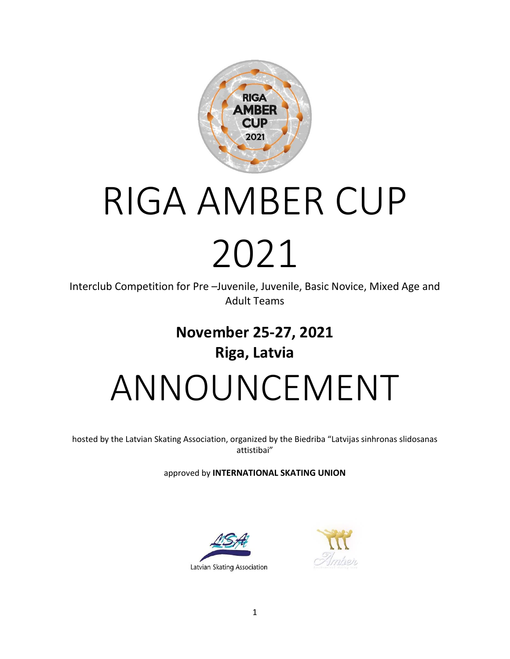

# RIGA AMBER CUP 2021

Interclub Competition for Pre –Juvenile, Juvenile, Basic Novice, Mixed Age and Adult Teams

## **November 25-27, 2021 Riga, Latvia** ANNOUNCEMENT

hosted by the Latvian Skating Association, organized by the Biedriba "Latvijas sinhronas slidosanas attistibai"

approved by **INTERNATIONAL SKATING UNION**



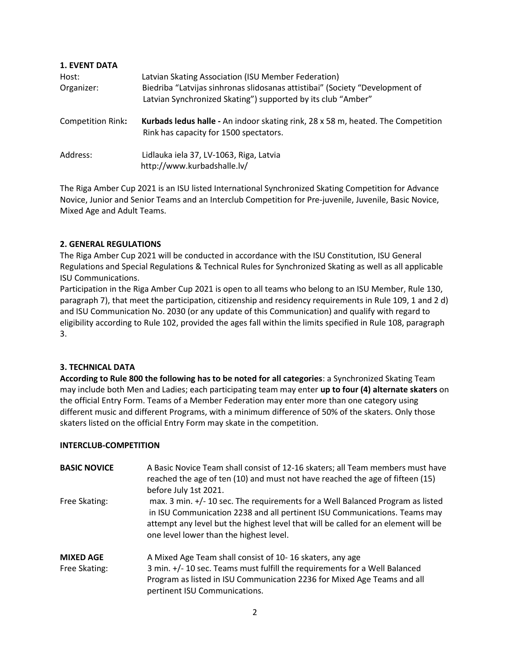| <b>1. EVENT DATA</b><br>Host:<br>Organizer: | Latvian Skating Association (ISU Member Federation)<br>Biedriba "Latvijas sinhronas slidosanas attistibai" (Society "Development of<br>Latvian Synchronized Skating") supported by its club "Amber" |
|---------------------------------------------|-----------------------------------------------------------------------------------------------------------------------------------------------------------------------------------------------------|
| <b>Competition Rink:</b>                    | Kurbads ledus halle - An indoor skating rink, 28 x 58 m, heated. The Competition<br>Rink has capacity for 1500 spectators.                                                                          |
| Address:                                    | Lidlauka iela 37, LV-1063, Riga, Latvia<br>http://www.kurbadshalle.lv/                                                                                                                              |

The Riga Amber Cup 2021 is an ISU listed International Synchronized Skating Competition for Advance Novice, Junior and Senior Teams and an Interclub Competition for Pre-juvenile, Juvenile, Basic Novice, Mixed Age and Adult Teams.

#### **2. GENERAL REGULATIONS**

The Riga Amber Cup 2021 will be conducted in accordance with the ISU Constitution, ISU General Regulations and Special Regulations & Technical Rules for Synchronized Skating as well as all applicable ISU Communications.

Participation in the Riga Amber Cup 2021 is open to all teams who belong to an ISU Member, Rule 130, paragraph 7), that meet the participation, citizenship and residency requirements in Rule 109, 1 and 2 d) and ISU Communication No. 2030 (or any update of this Communication) and qualify with regard to eligibility according to Rule 102, provided the ages fall within the limits specified in Rule 108, paragraph 3.

#### **3. TECHNICAL DATA**

**According to Rule 800 the following has to be noted for all categories**: a Synchronized Skating Team may include both Men and Ladies; each participating team may enter **up to four (4) alternate skaters** on the official Entry Form. Teams of a Member Federation may enter more than one category using different music and different Programs, with a minimum difference of 50% of the skaters. Only those skaters listed on the official Entry Form may skate in the competition.

#### **INTERCLUB-COMPETITION**

| <b>BASIC NOVICE</b>               | A Basic Novice Team shall consist of 12-16 skaters; all Team members must have<br>reached the age of ten (10) and must not have reached the age of fifteen (15)<br>before July 1st 2021.                                                                                                     |
|-----------------------------------|----------------------------------------------------------------------------------------------------------------------------------------------------------------------------------------------------------------------------------------------------------------------------------------------|
| Free Skating:                     | max. 3 min. +/- 10 sec. The requirements for a Well Balanced Program as listed<br>in ISU Communication 2238 and all pertinent ISU Communications. Teams may<br>attempt any level but the highest level that will be called for an element will be<br>one level lower than the highest level. |
| <b>MIXED AGE</b><br>Free Skating: | A Mixed Age Team shall consist of 10-16 skaters, any age<br>3 min. +/- 10 sec. Teams must fulfill the requirements for a Well Balanced<br>Program as listed in ISU Communication 2236 for Mixed Age Teams and all<br>pertinent ISU Communications.                                           |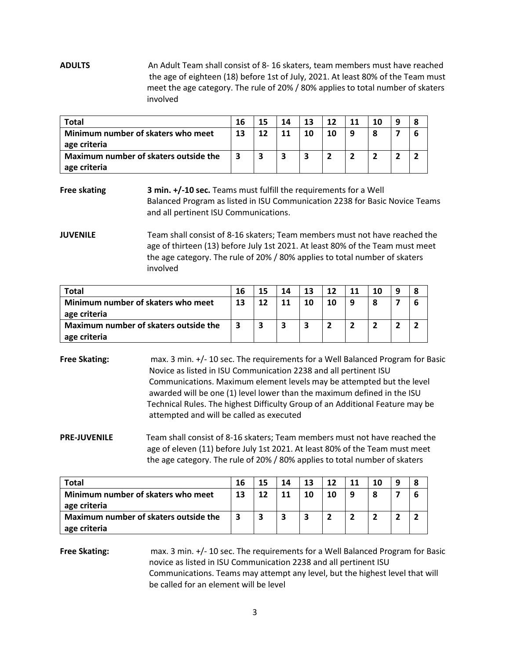**ADULTS** An Adult Team shall consist of 8- 16 skaters, team members must have reached the age of eighteen (18) before 1st of July, 2021. At least 80% of the Team must meet the age category. The rule of 20% / 80% applies to total number of skaters involved

| <b>Total</b>                          | 16 | 15 | 14 | 13 | 12 | 11 | 10 |  |
|---------------------------------------|----|----|----|----|----|----|----|--|
| Minimum number of skaters who meet    | 13 | 12 | 11 | 10 | 10 | a  | 8  |  |
| age criteria                          |    |    |    |    |    |    |    |  |
| Maximum number of skaters outside the | 3  | 3  |    |    |    |    |    |  |
| age criteria                          |    |    |    |    |    |    |    |  |

**Free skating 3 min. +/-10 sec.** Teams must fulfill the requirements for a Well Balanced Program as listed in ISU Communication 2238 for Basic Novice Teams and all pertinent ISU Communications.

**JUVENILE** Team shall consist of 8-16 skaters; Team members must not have reached the age of thirteen (13) before July 1st 2021. At least 80% of the Team must meet the age category. The rule of 20% / 80% applies to total number of skaters involved

| Total                                                 | 16 | 15 | 14 | 13 | 12 | 11 | 10 | 8 |
|-------------------------------------------------------|----|----|----|----|----|----|----|---|
| Minimum number of skaters who meet<br>age criteria    | 13 | 12 | 11 | 10 |    |    | 8  | b |
| Maximum number of skaters outside the<br>age criteria |    |    | 3  |    |    |    |    |   |

**Free Skating:** max. 3 min.  $+/-10$  sec. The requirements for a Well Balanced Program for Basic Novice as listed in ISU Communication 2238 and all pertinent ISU Communications. Maximum element levels may be attempted but the level awarded will be one (1) level lower than the maximum defined in the ISU Technical Rules. The highest Difficulty Group of an Additional Feature may be attempted and will be called as executed

**PRE-JUVENILE** Team shall consist of 8-16 skaters; Team members must not have reached the age of eleven (11) before July 1st 2021. At least 80% of the Team must meet the age category. The rule of 20% / 80% applies to total number of skaters

| Total                                                 | 16 | 15 | 14 | 13 | 12 | 10 | 8 |
|-------------------------------------------------------|----|----|----|----|----|----|---|
| Minimum number of skaters who meet<br>age criteria    | 13 | 12 | 11 | 10 | 10 | 8  | 6 |
| Maximum number of skaters outside the<br>age criteria |    |    |    |    |    |    |   |

**Free Skating:** max. 3 min. +/- 10 sec. The requirements for a Well Balanced Program for Basic novice as listed in ISU Communication 2238 and all pertinent ISU Communications. Teams may attempt any level, but the highest level that will be called for an element will be level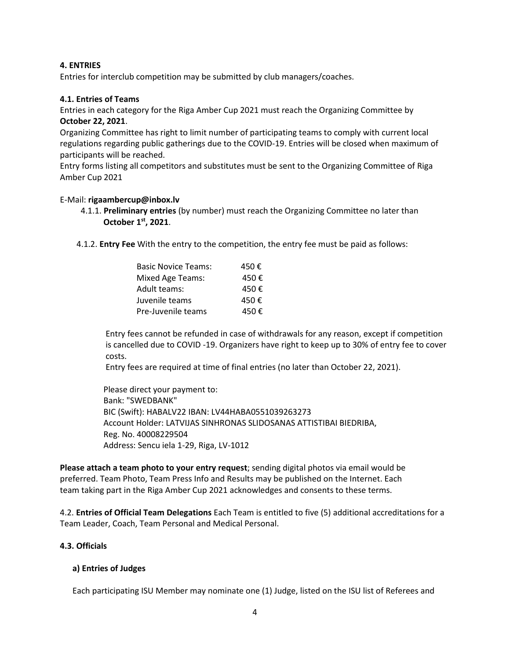#### **4. ENTRIES**

Entries for interclub competition may be submitted by club managers/coaches.

#### **4.1. Entries of Teams**

Entries in each category for the Riga Amber Cup 2021 must reach the Organizing Committee by **October 22, 2021**.

Organizing Committee has right to limit number of participating teams to comply with current local regulations regarding public gatherings due to the COVID-19. Entries will be closed when maximum of participants will be reached.

Entry forms listing all competitors and substitutes must be sent to the Organizing Committee of Riga Amber Cup 2021

#### E-Mail: **rigaambercup@inbox.lv**

- 4.1.1. **Preliminary entries** (by number) must reach the Organizing Committee no later than **October 1 st, 2021**.
	- 4.1.2. **Entry Fee** With the entry to the competition, the entry fee must be paid as follows:

| 450€ |
|------|
| 450€ |
| 450€ |
| 450€ |
| 450€ |
|      |

 Entry fees cannot be refunded in case of withdrawals for any reason, except if competition is cancelled due to COVID -19. Organizers have right to keep up to 30% of entry fee to cover costs.

Entry fees are required at time of final entries (no later than October 22, 2021).

 Please direct your payment to: Bank: "SWEDBANK" BIC (Swift): HABALV22 IBAN: LV44HABA0551039263273 Account Holder: LATVIJAS SINHRONAS SLIDOSANAS ATTISTIBAI BIEDRIBA, Reg. No. 40008229504 Address: Sencu iela 1-29, Riga, LV-1012

**Please attach a team photo to your entry request**; sending digital photos via email would be preferred. Team Photo, Team Press Info and Results may be published on the Internet. Each team taking part in the Riga Amber Cup 2021 acknowledges and consents to these terms.

4.2. **Entries of Official Team Delegations** Each Team is entitled to five (5) additional accreditations for a Team Leader, Coach, Team Personal and Medical Personal.

#### **4.3. Officials**

#### **a) Entries of Judges**

Each participating ISU Member may nominate one (1) Judge, listed on the ISU list of Referees and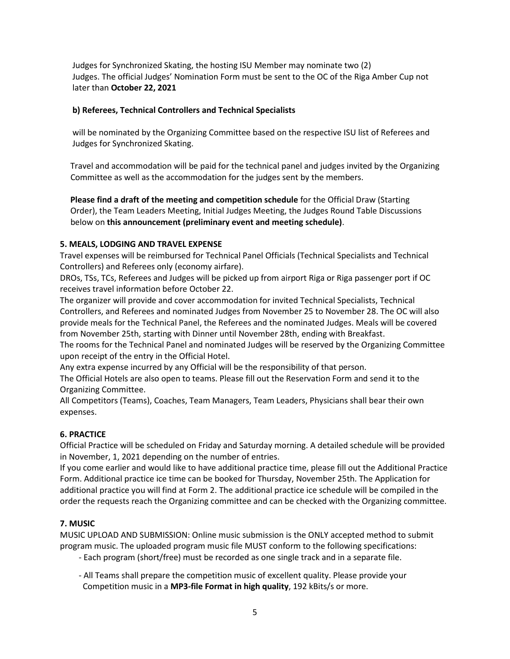Judges for Synchronized Skating, the hosting ISU Member may nominate two (2) Judges. The official Judges' Nomination Form must be sent to the OC of the Riga Amber Cup not later than **October 22, 2021**

#### **b) Referees, Technical Controllers and Technical Specialists**

 will be nominated by the Organizing Committee based on the respective ISU list of Referees and Judges for Synchronized Skating.

 Travel and accommodation will be paid for the technical panel and judges invited by the Organizing Committee as well as the accommodation for the judges sent by the members.

 **Please find a draft of the meeting and competition schedule** for the Official Draw (Starting Order), the Team Leaders Meeting, Initial Judges Meeting, the Judges Round Table Discussions below on **this announcement (preliminary event and meeting schedule)**.

#### **5. MEALS, LODGING AND TRAVEL EXPENSE**

Travel expenses will be reimbursed for Technical Panel Officials (Technical Specialists and Technical Controllers) and Referees only (economy airfare).

DROs, TSs, TCs, Referees and Judges will be picked up from airport Riga or Riga passenger port if OC receives travel information before October 22.

The organizer will provide and cover accommodation for invited Technical Specialists, Technical Controllers, and Referees and nominated Judges from November 25 to November 28. The OC will also provide meals for the Technical Panel, the Referees and the nominated Judges. Meals will be covered from November 25th, starting with Dinner until November 28th, ending with Breakfast.

The rooms for the Technical Panel and nominated Judges will be reserved by the Organizing Committee upon receipt of the entry in the Official Hotel.

Any extra expense incurred by any Official will be the responsibility of that person.

The Official Hotels are also open to teams. Please fill out the Reservation Form and send it to the Organizing Committee.

All Competitors (Teams), Coaches, Team Managers, Team Leaders, Physicians shall bear their own expenses.

#### **6. PRACTICE**

Official Practice will be scheduled on Friday and Saturday morning. A detailed schedule will be provided in November, 1, 2021 depending on the number of entries.

If you come earlier and would like to have additional practice time, please fill out the Additional Practice Form. Additional practice ice time can be booked for Thursday, November 25th. The Application for additional practice you will find at Form 2. The additional practice ice schedule will be compiled in the order the requests reach the Organizing committee and can be checked with the Organizing committee.

#### **7. MUSIC**

MUSIC UPLOAD AND SUBMISSION: Online music submission is the ONLY accepted method to submit program music. The uploaded program music file MUST conform to the following specifications:

- Each program (short/free) must be recorded as one single track and in a separate file.

 - All Teams shall prepare the competition music of excellent quality. Please provide your Competition music in a **MP3-file Format in high quality**, 192 kBits/s or more.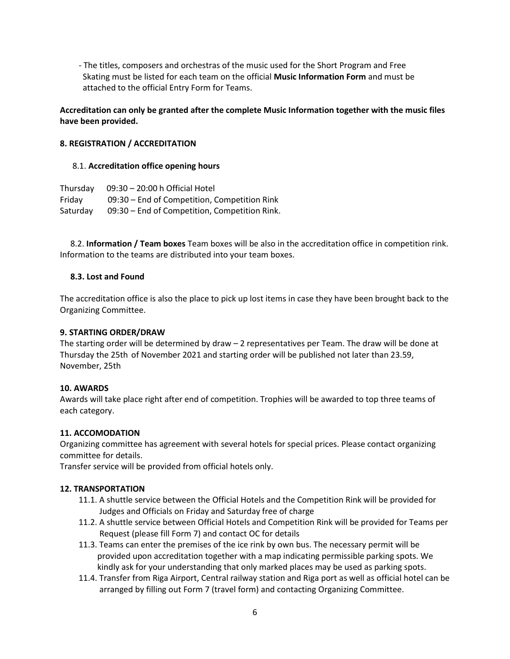- The titles, composers and orchestras of the music used for the Short Program and Free Skating must be listed for each team on the official **Music Information Form** and must be attached to the official Entry Form for Teams.

**Accreditation can only be granted after the complete Music Information together with the music files have been provided.** 

#### **8. REGISTRATION / ACCREDITATION**

#### 8.1. **Accreditation office opening hours**

| Thursday | 09:30 - 20:00 h Official Hotel                |
|----------|-----------------------------------------------|
| Fridav   | 09:30 – End of Competition, Competition Rink  |
| Saturday | 09:30 – End of Competition, Competition Rink. |

 8.2. **Information / Team boxes** Team boxes will be also in the accreditation office in competition rink. Information to the teams are distributed into your team boxes.

#### **8.3. Lost and Found**

The accreditation office is also the place to pick up lost items in case they have been brought back to the Organizing Committee.

#### **9. STARTING ORDER/DRAW**

The starting order will be determined by draw – 2 representatives per Team. The draw will be done at Thursday the 25th of November 2021 and starting order will be published not later than 23.59, November, 25th

#### **10. AWARDS**

Awards will take place right after end of competition. Trophies will be awarded to top three teams of each category.

#### **11. ACCOMODATION**

Organizing committee has agreement with several hotels for special prices. Please contact organizing committee for details.

Transfer service will be provided from official hotels only.

#### **12. TRANSPORTATION**

- 11.1. A shuttle service between the Official Hotels and the Competition Rink will be provided for Judges and Officials on Friday and Saturday free of charge
- 11.2. A shuttle service between Official Hotels and Competition Rink will be provided for Teams per Request (please fill Form 7) and contact OC for details
- 11.3. Teams can enter the premises of the ice rink by own bus. The necessary permit will be provided upon accreditation together with a map indicating permissible parking spots. We kindly ask for your understanding that only marked places may be used as parking spots.
- 11.4. Transfer from Riga Airport, Central railway station and Riga port as well as official hotel can be arranged by filling out Form 7 (travel form) and contacting Organizing Committee.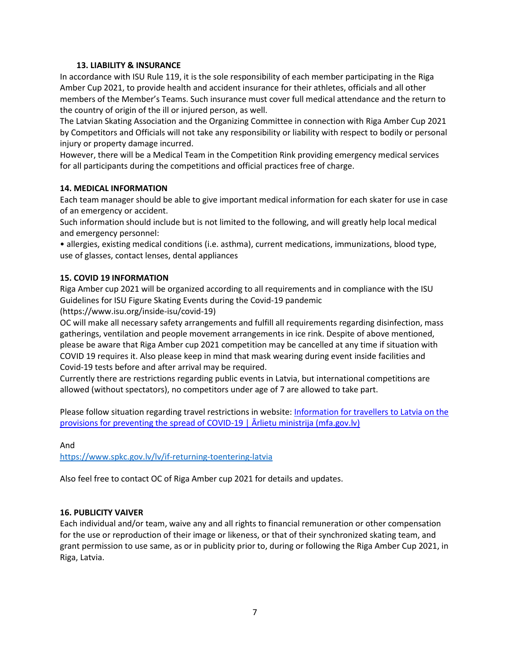#### **13. LIABILITY & INSURANCE**

In accordance with ISU Rule 119, it is the sole responsibility of each member participating in the Riga Amber Cup 2021, to provide health and accident insurance for their athletes, officials and all other members of the Member's Teams. Such insurance must cover full medical attendance and the return to the country of origin of the ill or injured person, as well.

The Latvian Skating Association and the Organizing Committee in connection with Riga Amber Cup 2021 by Competitors and Officials will not take any responsibility or liability with respect to bodily or personal injury or property damage incurred.

However, there will be a Medical Team in the Competition Rink providing emergency medical services for all participants during the competitions and official practices free of charge.

#### **14. MEDICAL INFORMATION**

Each team manager should be able to give important medical information for each skater for use in case of an emergency or accident.

Such information should include but is not limited to the following, and will greatly help local medical and emergency personnel:

• allergies, existing medical conditions (i.e. asthma), current medications, immunizations, blood type, use of glasses, contact lenses, dental appliances

#### **15. COVID 19 INFORMATION**

Riga Amber cup 2021 will be organized according to all requirements and in compliance with the ISU Guidelines for ISU Figure Skating Events during the Covid-19 pandemic

(https://www.isu.org/inside-isu/covid-19)

OC will make all necessary safety arrangements and fulfill all requirements regarding disinfection, mass gatherings, ventilation and people movement arrangements in ice rink. Despite of above mentioned, please be aware that Riga Amber cup 2021 competition may be cancelled at any time if situation with COVID 19 requires it. Also please keep in mind that mask wearing during event inside facilities and Covid-19 tests before and after arrival may be required.

Currently there are restrictions regarding public events in Latvia, but international competitions are allowed (without spectators), no competitors under age of 7 are allowed to take part.

Please follow situation regarding travel restrictions in website: Information for travellers to Latvia on the [provisions for preventing the spread of COVID-](https://www.mfa.gov.lv/en/information-travellers-latvia-provisions-preventing-spread-covid-19)19  $\vert$   $\bar{A}$ rlietu ministrija (mfa.gov.lv)

And

<https://www.spkc.gov.lv/lv/if-returning-toentering-latvia>

Also feel free to contact OC of Riga Amber cup 2021 for details and updates.

#### **16. PUBLICITY VAIVER**

Each individual and/or team, waive any and all rights to financial remuneration or other compensation for the use or reproduction of their image or likeness, or that of their synchronized skating team, and grant permission to use same, as or in publicity prior to, during or following the Riga Amber Cup 2021, in Riga, Latvia.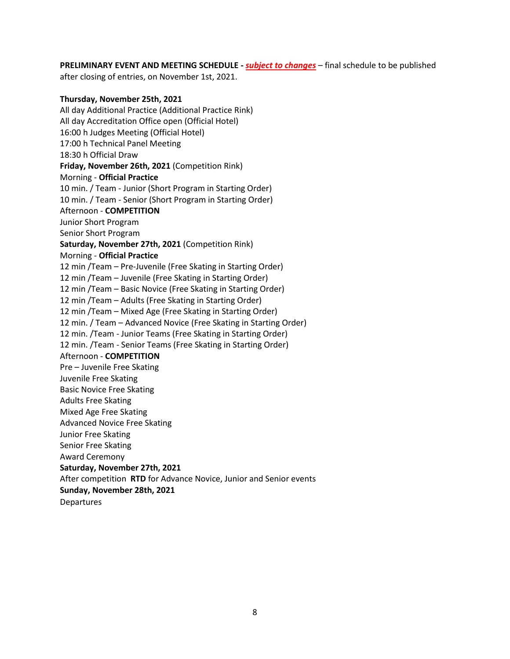**PRELIMINARY EVENT AND MEETING SCHEDULE -** *subject to changes* – final schedule to be published

after closing of entries, on November 1st, 2021.

#### **Thursday, November 25th, 2021**

All day Additional Practice (Additional Practice Rink) All day Accreditation Office open (Official Hotel) 16:00 h Judges Meeting (Official Hotel) 17:00 h Technical Panel Meeting 18:30 h Official Draw **Friday, November 26th, 2021** (Competition Rink) Morning - **Official Practice**  10 min. / Team - Junior (Short Program in Starting Order) 10 min. / Team - Senior (Short Program in Starting Order) Afternoon - **COMPETITION**  Junior Short Program Senior Short Program **Saturday, November 27th, 2021** (Competition Rink) Morning - **Official Practice**  12 min /Team – Pre-Juvenile (Free Skating in Starting Order) 12 min /Team – Juvenile (Free Skating in Starting Order) 12 min /Team – Basic Novice (Free Skating in Starting Order) 12 min /Team – Adults (Free Skating in Starting Order) 12 min /Team – Mixed Age (Free Skating in Starting Order) 12 min. / Team – Advanced Novice (Free Skating in Starting Order) 12 min. /Team - Junior Teams (Free Skating in Starting Order) 12 min. /Team - Senior Teams (Free Skating in Starting Order) Afternoon - **COMPETITION**  Pre – Juvenile Free Skating Juvenile Free Skating Basic Novice Free Skating Adults Free Skating Mixed Age Free Skating Advanced Novice Free Skating Junior Free Skating Senior Free Skating Award Ceremony **Saturday, November 27th, 2021** After competition **RTD** for Advance Novice, Junior and Senior events **Sunday, November 28th, 2021** Departures